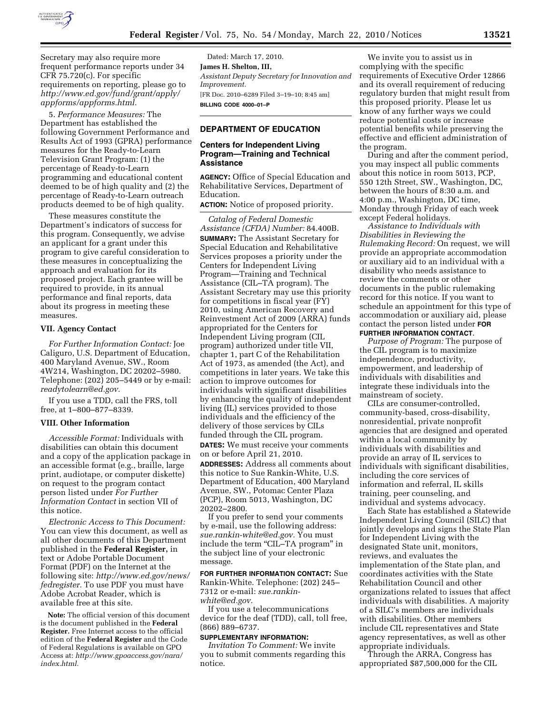

Secretary may also require more frequent performance reports under 34 CFR 75.720(c). For specific requirements on reporting, please go to *http://www.ed.gov/fund/grant/apply/ appforms/appforms.html.* 

5. *Performance Measures:* The Department has established the following Government Performance and Results Act of 1993 (GPRA) performance measures for the Ready-to-Learn Television Grant Program: (1) the percentage of Ready-to-Learn programming and educational content deemed to be of high quality and (2) the percentage of Ready-to-Learn outreach products deemed to be of high quality.

These measures constitute the Department's indicators of success for this program. Consequently, we advise an applicant for a grant under this program to give careful consideration to these measures in conceptualizing the approach and evaluation for its proposed project. Each grantee will be required to provide, in its annual performance and final reports, data about its progress in meeting these measures.

# **VII. Agency Contact**

*For Further Information Contact:* Joe Caliguro, U.S. Department of Education, 400 Maryland Avenue, SW., Room 4W214, Washington, DC 20202–5980. Telephone: (202) 205–5449 or by e-mail: *readytolearn@ed.gov.* 

If you use a TDD, call the FRS, toll free, at 1–800–877–8339.

#### **VIII. Other Information**

*Accessible Format:* Individuals with disabilities can obtain this document and a copy of the application package in an accessible format (e.g., braille, large print, audiotape, or computer diskette) on request to the program contact person listed under *For Further Information Contact* in section VII of this notice.

*Electronic Access to This Document:*  You can view this document, as well as all other documents of this Department published in the **Federal Register,** in text or Adobe Portable Document Format (PDF) on the Internet at the following site: *http://www.ed.gov/news/ fedregister.* To use PDF you must have Adobe Acrobat Reader, which is available free at this site.

**Note:** The official version of this document is the document published in the **Federal Register.** Free Internet access to the official edition of the **Federal Register** and the Code of Federal Regulations is available on GPO Access at: *http://www.gpoaccess.gov/nara/ index.html.* 

Dated: March 17, 2010. **James H. Shelton, III,**  *Assistant Deputy Secretary for Innovation and Improvement.*  [FR Doc. 2010–6289 Filed 3–19–10; 8:45 am] **BILLING CODE 4000–01–P** 

# **DEPARTMENT OF EDUCATION**

## **Centers for Independent Living Program—Training and Technical Assistance**

**AGENCY:** Office of Special Education and Rehabilitative Services, Department of Education.

**ACTION:** Notice of proposed priority.

*Catalog of Federal Domestic Assistance (CFDA) Number:* 84.400B. **SUMMARY:** The Assistant Secretary for Special Education and Rehabilitative Services proposes a priority under the Centers for Independent Living Program—Training and Technical Assistance (CIL–TA program). The Assistant Secretary may use this priority for competitions in fiscal year (FY) 2010, using American Recovery and Reinvestment Act of 2009 (ARRA) funds appropriated for the Centers for Independent Living program (CIL program) authorized under title VII, chapter 1, part C of the Rehabilitation Act of 1973, as amended (the Act), and competitions in later years. We take this action to improve outcomes for individuals with significant disabilities by enhancing the quality of independent living (IL) services provided to those individuals and the efficiency of the delivery of those services by CILs funded through the CIL program. **DATES:** We must receive your comments on or before April 21, 2010.

**ADDRESSES:** Address all comments about this notice to Sue Rankin-White, U.S. Department of Education, 400 Maryland Avenue, SW., Potomac Center Plaza (PCP), Room 5013, Washington, DC 20202–2800.

If you prefer to send your comments by e-mail, use the following address: *sue.rankin-white@ed.gov.* You must include the term "CIL–TA program" in the subject line of your electronic message.

**FOR FURTHER INFORMATION CONTACT:** Sue Rankin-White. Telephone: (202) 245– 7312 or e-mail: *sue.rankinwhite@ed.gov.* 

If you use a telecommunications device for the deaf (TDD), call, toll free, (866) 889–6737.

#### **SUPPLEMENTARY INFORMATION:**

*Invitation To Comment:* We invite you to submit comments regarding this notice.

We invite you to assist us in complying with the specific requirements of Executive Order 12866 and its overall requirement of reducing regulatory burden that might result from this proposed priority. Please let us know of any further ways we could reduce potential costs or increase potential benefits while preserving the effective and efficient administration of the program.

During and after the comment period, you may inspect all public comments about this notice in room 5013, PCP, 550 12th Street, SW., Washington, DC, between the hours of 8:30 a.m. and 4:00 p.m., Washington, DC time, Monday through Friday of each week except Federal holidays.

*Assistance to Individuals with Disabilities in Reviewing the Rulemaking Record:* On request, we will provide an appropriate accommodation or auxiliary aid to an individual with a disability who needs assistance to review the comments or other documents in the public rulemaking record for this notice. If you want to schedule an appointment for this type of accommodation or auxiliary aid, please contact the person listed under **FOR FURTHER INFORMATION CONTACT**.

*Purpose of Program:* The purpose of the CIL program is to maximize independence, productivity, empowerment, and leadership of individuals with disabilities and integrate these individuals into the mainstream of society.

CILs are consumer-controlled, community-based, cross-disability, nonresidential, private nonprofit agencies that are designed and operated within a local community by individuals with disabilities and provide an array of IL services to individuals with significant disabilities, including the core services of information and referral, IL skills training, peer counseling, and individual and systems advocacy.

Each State has established a Statewide Independent Living Council (SILC) that jointly develops and signs the State Plan for Independent Living with the designated State unit, monitors, reviews, and evaluates the implementation of the State plan, and coordinates activities with the State Rehabilitation Council and other organizations related to issues that affect individuals with disabilities. A majority of a SILC's members are individuals with disabilities. Other members include CIL representatives and State agency representatives, as well as other appropriate individuals.

Through the ARRA, Congress has appropriated \$87,500,000 for the CIL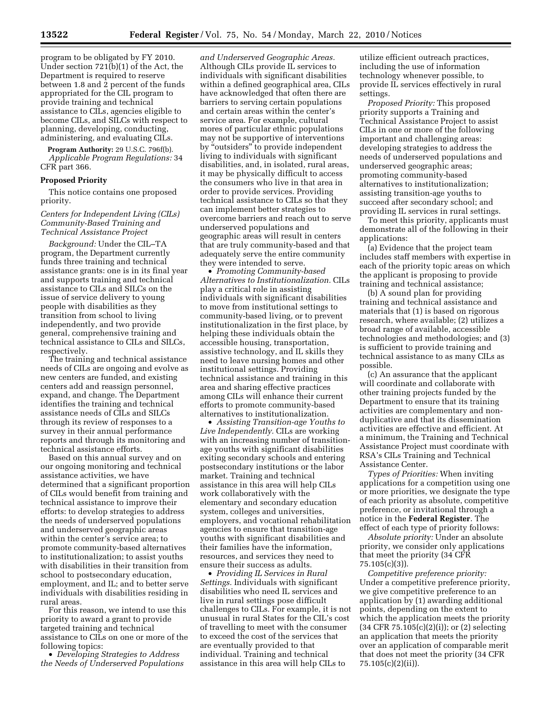program to be obligated by FY 2010. Under section 721(b)(1) of the Act, the Department is required to reserve between 1.8 and 2 percent of the funds appropriated for the CIL program to provide training and technical assistance to CILs, agencies eligible to become CILs, and SILCs with respect to planning, developing, conducting, administering, and evaluating CILs.

**Program Authority:** 29 U.S.C. 796f(b). *Applicable Program Regulations:* 34 CFR part 366.

## **Proposed Priority**

This notice contains one proposed priority.

# *Centers for Independent Living (CILs) Community-Based Training and Technical Assistance Project*

*Background:* Under the CIL–TA program, the Department currently funds three training and technical assistance grants: one is in its final year and supports training and technical assistance to CILs and SILCs on the issue of service delivery to young people with disabilities as they transition from school to living independently, and two provide general, comprehensive training and technical assistance to CILs and SILCs, respectively.

The training and technical assistance needs of CILs are ongoing and evolve as new centers are funded, and existing centers add and reassign personnel, expand, and change. The Department identifies the training and technical assistance needs of CILs and SILCs through its review of responses to a survey in their annual performance reports and through its monitoring and technical assistance efforts.

Based on this annual survey and on our ongoing monitoring and technical assistance activities, we have determined that a significant proportion of CILs would benefit from training and technical assistance to improve their efforts: to develop strategies to address the needs of underserved populations and underserved geographic areas within the center's service area; to promote community-based alternatives to institutionalization; to assist youths with disabilities in their transition from school to postsecondary education, employment, and IL; and to better serve individuals with disabilities residing in rural areas.

For this reason, we intend to use this priority to award a grant to provide targeted training and technical assistance to CILs on one or more of the following topics:

• *Developing Strategies to Address the Needs of Underserved Populations*  *and Underserved Geographic Areas.*  Although CILs provide IL services to individuals with significant disabilities within a defined geographical area, CILs have acknowledged that often there are barriers to serving certain populations and certain areas within the center's service area. For example, cultural mores of particular ethnic populations may not be supportive of interventions by ''outsiders'' to provide independent living to individuals with significant disabilities, and, in isolated, rural areas, it may be physically difficult to access the consumers who live in that area in order to provide services. Providing technical assistance to CILs so that they can implement better strategies to overcome barriers and reach out to serve underserved populations and geographic areas will result in centers that are truly community-based and that adequately serve the entire community they were intended to serve.

• *Promoting Community-based Alternatives to Institutionalization.* CILs play a critical role in assisting individuals with significant disabilities to move from institutional settings to community-based living, or to prevent institutionalization in the first place, by helping these individuals obtain the accessible housing, transportation, assistive technology, and IL skills they need to leave nursing homes and other institutional settings. Providing technical assistance and training in this area and sharing effective practices among CILs will enhance their current efforts to promote community-based alternatives to institutionalization.

• *Assisting Transition-age Youths to Live Independently.* CILs are working with an increasing number of transitionage youths with significant disabilities exiting secondary schools and entering postsecondary institutions or the labor market. Training and technical assistance in this area will help CILs work collaboratively with the elementary and secondary education system, colleges and universities, employers, and vocational rehabilitation agencies to ensure that transition-age youths with significant disabilities and their families have the information, resources, and services they need to ensure their success as adults.

• *Providing IL Services in Rural Settings.* Individuals with significant disabilities who need IL services and live in rural settings pose difficult challenges to CILs. For example, it is not unusual in rural States for the CIL's cost of travelling to meet with the consumer to exceed the cost of the services that are eventually provided to that individual. Training and technical assistance in this area will help CILs to

utilize efficient outreach practices, including the use of information technology whenever possible, to provide IL services effectively in rural settings.

*Proposed Priority:* This proposed priority supports a Training and Technical Assistance Project to assist CILs in one or more of the following important and challenging areas: developing strategies to address the needs of underserved populations and underserved geographic areas; promoting community-based alternatives to institutionalization; assisting transition-age youths to succeed after secondary school; and providing IL services in rural settings.

To meet this priority, applicants must demonstrate all of the following in their applications:

(a) Evidence that the project team includes staff members with expertise in each of the priority topic areas on which the applicant is proposing to provide training and technical assistance;

(b) A sound plan for providing training and technical assistance and materials that (1) is based on rigorous research, where available; (2) utilizes a broad range of available, accessible technologies and methodologies; and (3) is sufficient to provide training and technical assistance to as many CILs as possible.

(c) An assurance that the applicant will coordinate and collaborate with other training projects funded by the Department to ensure that its training activities are complementary and nonduplicative and that its dissemination activities are effective and efficient. At a minimum, the Training and Technical Assistance Project must coordinate with RSA's CILs Training and Technical Assistance Center.

*Types of Priorities:* When inviting applications for a competition using one or more priorities, we designate the type of each priority as absolute, competitive preference, or invitational through a notice in the **Federal Register**. The effect of each type of priority follows:

*Absolute priority:* Under an absolute priority, we consider only applications that meet the priority (34 CFR 75.105(c)(3)).

*Competitive preference priority:*  Under a competitive preference priority, we give competitive preference to an application by (1) awarding additional points, depending on the extent to which the application meets the priority  $(34 \text{ CFR } 75.105(c)(2)(i))$ ; or  $(2)$  selecting an application that meets the priority over an application of comparable merit that does not meet the priority (34 CFR 75.105(c)(2)(ii)).